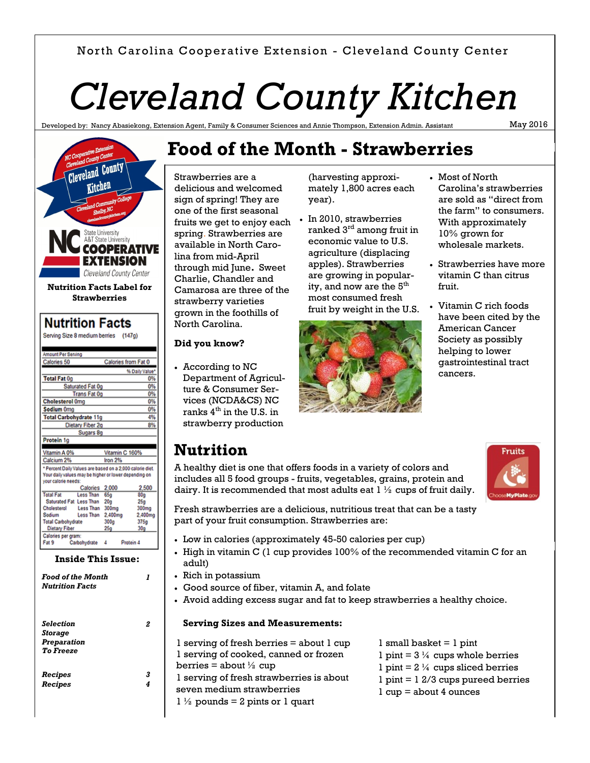#### North Carolina Cooperative Extension - Cleveland County Center

# *Cleveland County Kitchen*

Developed by: Nancy Abasiekong, Extension Agent, Family & Consumer Sciences and Annie Thom

May 2016



| Serving Size 8 medium berries<br>(147q)<br>Amount Per Serving<br>Calories from Fat 0<br>Calories 50<br>% Daily Value*<br><b>Total Fat 0g</b><br>Saturated Fat 0g<br><b>Trans Fat 0g</b><br><b>Cholesterol Omg</b><br>Sodium 0mg<br><b>Total Carbohydrate 11g</b><br>Dietary Fiber 2g<br>Sugars 8g<br>Protein 1g |    |
|-----------------------------------------------------------------------------------------------------------------------------------------------------------------------------------------------------------------------------------------------------------------------------------------------------------------|----|
|                                                                                                                                                                                                                                                                                                                 |    |
|                                                                                                                                                                                                                                                                                                                 |    |
|                                                                                                                                                                                                                                                                                                                 |    |
|                                                                                                                                                                                                                                                                                                                 |    |
|                                                                                                                                                                                                                                                                                                                 |    |
|                                                                                                                                                                                                                                                                                                                 | 0% |
|                                                                                                                                                                                                                                                                                                                 | 0% |
|                                                                                                                                                                                                                                                                                                                 | 0% |
|                                                                                                                                                                                                                                                                                                                 | 0% |
|                                                                                                                                                                                                                                                                                                                 | 0% |
|                                                                                                                                                                                                                                                                                                                 | 4% |
|                                                                                                                                                                                                                                                                                                                 | 8% |
|                                                                                                                                                                                                                                                                                                                 |    |
|                                                                                                                                                                                                                                                                                                                 |    |
|                                                                                                                                                                                                                                                                                                                 |    |
| Vitamin A 0%<br>Vitamin C 160%                                                                                                                                                                                                                                                                                  |    |
| Calcium 2%<br>Iron $2%$                                                                                                                                                                                                                                                                                         |    |
| * Percent Daily Values are based on a 2,000 calorie diet.                                                                                                                                                                                                                                                       |    |
| Your daily values may be higher or lower depending on                                                                                                                                                                                                                                                           |    |
| vour calorie needs:<br>2,000<br>2,500<br>Calories                                                                                                                                                                                                                                                               |    |
| <b>Total Fat</b><br>Less Than<br>65q<br>80a                                                                                                                                                                                                                                                                     |    |
| Saturated Fat Less Than<br>20 <sub>9</sub><br>25a                                                                                                                                                                                                                                                               |    |
| Cholesterol<br><b>Less Than</b><br>300 <sub>mg</sub><br>300mg                                                                                                                                                                                                                                                   |    |
| <b>Less Than</b><br>Sodium<br>2,400mg<br>2,400mg                                                                                                                                                                                                                                                                |    |
| <b>Total Carbohydrate</b><br>300 <sub>g</sub><br>375a                                                                                                                                                                                                                                                           |    |
| Dietary Fiber<br>25g<br>30a                                                                                                                                                                                                                                                                                     |    |
| Calories per gram:                                                                                                                                                                                                                                                                                              |    |
| Fat 9<br>Carbohydrate<br>4<br>Protein 4                                                                                                                                                                                                                                                                         |    |

**Inside This Issue:**

| <b>Food of the Month</b><br><b>Nutrition Facts</b> |   |
|----------------------------------------------------|---|
|                                                    |   |
| <b>Selection</b>                                   | 2 |
| <b>Storage</b>                                     |   |
| Preparation                                        |   |
| To Freeze                                          |   |
| Recipes                                            | 3 |
| <b>Recipes</b>                                     | 4 |
|                                                    |   |

# **Food of the Month - Strawberries**

Strawberries are a delicious and welcomed sign of spring! They are one of the first seasonal fruits we get to enjoy each spring. Strawberries are available in North Carolina from mid-April through mid June**.** Sweet Charlie, Chandler and Camarosa are three of the strawberry varieties grown in the foothills of North Carolina.

#### **Did you know?**

 According to NC Department of Agriculture & Consumer Services (NCDA&CS) NC ranks  $4<sup>th</sup>$  in the U.S. in strawberry production

(harvesting approximately 1,800 acres each year).

 In 2010, strawberries ranked 3<sup>rd</sup> among fruit in economic value to U.S. agriculture (displacing apples). Strawberries are growing in popularity, and now are the  $5<sup>th</sup>$ most consumed fresh fruit by weight in the U.S.



- Most of North Carolina's strawberries are sold as "direct from the farm" to consumers. With approximately 10% grown for wholesale markets.
- Strawberries have more vitamin C than citrus fruit.
- Vitamin C rich foods have been cited by the American Cancer Society as possibly helping to lower gastrointestinal tract cancers.

### **Nutrition**

A healthy diet is one that offers foods in a variety of colors and includes all 5 food groups - fruits, vegetables, grains, protein and dairy. It is recommended that most adults eat  $1\frac{1}{2}$  cups of fruit daily.



Fresh strawberries are a delicious, nutritious treat that can be a tasty part of your fruit consumption. Strawberries are:

- Low in calories (approximately 45-50 calories per cup)
- $\bullet$  High in vitamin C (1 cup provides 100% of the recommended vitamin C for an adult)
- Rich in potassium
- Good source of fiber, vitamin A, and folate
- Avoid adding excess sugar and fat to keep strawberries a healthy choice.

#### **Serving Sizes and Measurements:**

1 serving of fresh berries = about 1 cup 1 serving of cooked, canned or frozen berries = about  $\frac{1}{2}$  cup 1 serving of fresh strawberries is about seven medium strawberries  $1\frac{1}{2}$  pounds = 2 pints or 1 quart

- $1$  small basket  $= 1$  pint
- 1 pint =  $3\frac{1}{4}$  cups whole berries
- 1 pint =  $2\frac{1}{4}$  cups sliced berries
- 1 pint = 1 2/3 cups pureed berries
- $1 cup = about 4 ounces$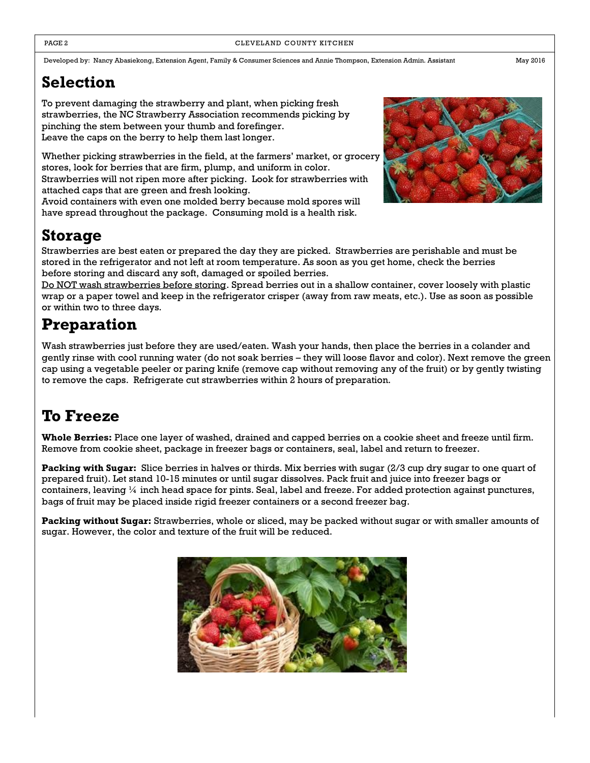Developed by: Nancy Abasiekong, Extension Agent, Family & Consumer Sciences and Annie Thompson, Extension Admin. Assistant May 2016

# **Selection**

To prevent damaging the strawberry and plant, when picking fresh strawberries, the NC Strawberry Association recommends picking by pinching the stem between your thumb and forefinger. Leave the caps on the berry to help them last longer.

Whether picking strawberries in the field, at the farmers' market, or grocery stores, look for berries that are firm, plump, and uniform in color. Strawberries will not ripen more after picking. Look for strawberries with attached caps that are green and fresh looking.

Avoid containers with even one molded berry because mold spores will have spread throughout the package. Consuming mold is a health risk.

# **Storage**

Strawberries are best eaten or prepared the day they are picked. Strawberries are perishable and must be stored in the refrigerator and not left at room temperature. As soon as you get home, check the berries before storing and discard any soft, damaged or spoiled berries.

Do NOT wash strawberries before storing. Spread berries out in a shallow container, cover loosely with plastic wrap or a paper towel and keep in the refrigerator crisper (away from raw meats, etc.). Use as soon as possible or within two to three days.

# **Preparation**

Wash strawberries just before they are used/eaten. Wash your hands, then place the berries in a colander and gently rinse with cool running water (do not soak berries – they will loose flavor and color). Next remove the green cap using a vegetable peeler or paring knife (remove cap without removing any of the fruit) or by gently twisting to remove the caps. Refrigerate cut strawberries within 2 hours of preparation.

# **To Freeze**

**Whole Berries:** Place one layer of washed, drained and capped berries on a cookie sheet and freeze until firm. Remove from cookie sheet, package in freezer bags or containers, seal, label and return to freezer.

**Packing with Sugar:** Slice berries in halves or thirds. Mix berries with sugar (2/3 cup dry sugar to one quart of prepared fruit). Let stand 10-15 minutes or until sugar dissolves. Pack fruit and juice into freezer bags or containers, leaving  $\frac{1}{4}$  inch head space for pints. Seal, label and freeze. For added protection against punctures, bags of fruit may be placed inside rigid freezer containers or a second freezer bag.

**Packing without Sugar:** Strawberries, whole or sliced, may be packed without sugar or with smaller amounts of sugar. However, the color and texture of the fruit will be reduced.



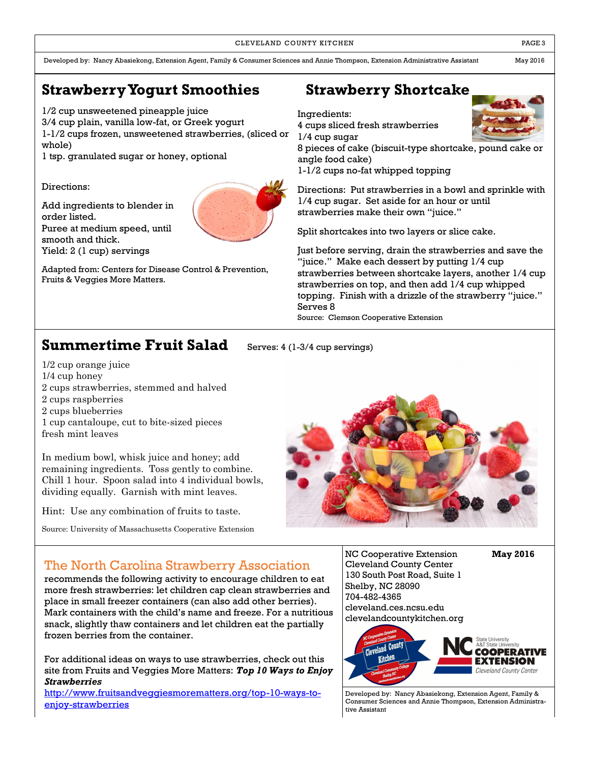CLEVELAND COUNTY KITCHEN **EXECUTE A RESISTENT COUNTY KITCHEN** 

Developed by: Nancy Abasiekong, Extension Agent, Family & Consumer Sciences and Annie Thompson, Extension Administrative Assistant May 2016

### **Strawberry Yogurt Smoothies Strawberry Shortcake**

1/2 cup unsweetened pineapple juice

3/4 cup plain, vanilla low-fat, or Greek yogurt 1-1/2 cups frozen, unsweetened strawberries, (sliced or whole)

1 tsp. granulated sugar or honey, optional

Directions:

Add ingredients to blender in order listed. Puree at medium speed, until smooth and thick. Yield: 2 (1 cup) servings

Adapted from: Centers for Disease Control & Prevention, Fruits & Veggies More Matters.

Ingredients:

4 cups sliced fresh strawberries

1/4 cup sugar

8 pieces of cake (biscuit-type shortcake, pound cake or angle food cake)

1-1/2 cups no-fat whipped topping

Directions: Put strawberries in a bowl and sprinkle with 1/4 cup sugar. Set aside for an hour or until strawberries make their own "juice."

Split shortcakes into two layers or slice cake.

Just before serving, drain the strawberries and save the "juice." Make each dessert by putting 1/4 cup strawberries between shortcake layers, another 1/4 cup strawberries on top, and then add 1/4 cup whipped topping. Finish with a drizzle of the strawberry "juice." Serves 8 Source: Clemson Cooperative Extension

**Summertime Fruit Salad** Serves: 4 (1-3/4 cup servings)

1/2 cup orange juice

- 1/4 cup honey
- 2 cups strawberries, stemmed and halved
- 2 cups raspberries
- 2 cups blueberries
- 1 cup cantaloupe, cut to bite-sized pieces fresh mint leaves

In medium bowl, whisk juice and honey; add remaining ingredients. Toss gently to combine. Chill 1 hour. Spoon salad into 4 individual bowls, dividing equally. Garnish with mint leaves.

Hint: Use any combination of fruits to taste.

Source: University of Massachusetts Cooperative Extension



#### The North Carolina Strawberry Association

recommends the following activity to encourage children to eat more fresh strawberries: let children cap clean strawberries and place in small freezer containers (can also add other berries). Mark containers with the child's name and freeze. For a nutritious snack, slightly thaw containers and let children eat the partially frozen berries from the container.

For additional ideas on ways to use strawberries, check out this site from Fruits and Veggies More Matters: *Top 10 Ways to Enjoy Strawberries*

[http://www.fruitsandveggiesmorematters.org/top-10-ways-to](http://www.fruitsandveggiesmorematters.org/top-10-ways-to-enjoy-strawberries)[enjoy-strawberries](http://www.fruitsandveggiesmorematters.org/top-10-ways-to-enjoy-strawberries)

NC Cooperative Extension **May 2016** Cleveland County Center 130 South Post Road, Suite 1 Shelby, NC 28090 704-482-4365 cleveland.ces.ncsu.edu clevelandcountykitchen.org



Developed by: Nancy Abasiekong, Extension Agent, Family & Consumer Sciences and Annie Thompson, Extension Administrative Assistant